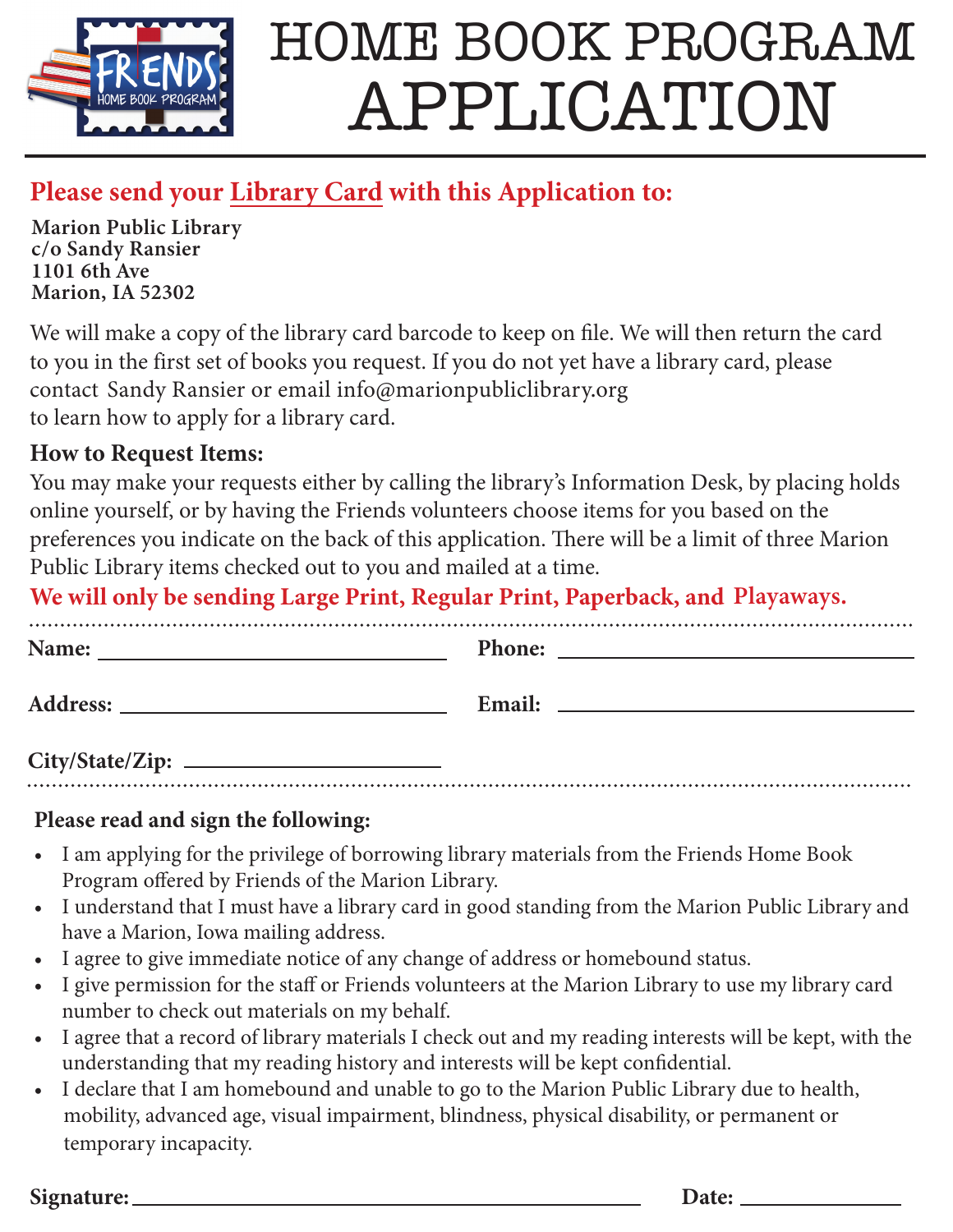

# HOME BOOK PROGRAM APPLICATION

### **Please send your Library Card with this Application to:**

**Marion Public Library**  $c$ /**o** Sandy Ransier **1101 6th Ave**<br>Marian **IA 52203 Marion, IA 52302** - 1101 6th Ave

We will make a copy of the library card barcode to keep on file. We will then return the card to you in the first set of books you request. If you do not yet have a library card, please contact "Sandy Ransier or email info@marionpubliclibrary.org to learn how to apply for a library card.

#### **How to Request Items:**

You may make your requests either by calling the library's Information Desk, by placing holds online yourself, or by having the Friends volunteers choose items for you based on the preferences you indicate on the back of this application. There will be a limit of three Marion Public Library items checked out to you and mailed at a time.

We will only be sending Large Print, Regular Print, Paperback, and Playaways.

| Name:                        | <b>Phone:</b><br><u> 1980 - John Stein, Amerikaansk politiker (* 1900)</u> |
|------------------------------|----------------------------------------------------------------------------|
|                              |                                                                            |
| ____<br>$\sim$ $\sim$ $\sim$ |                                                                            |

**City/State/Zip:**

#### **Please read and sign the following:**

- I am applying for the privilege of borrowing library materials from the Friends Home Book Program offered by Friends of the Marion Library.
- I understand that I must have a library card in good standing from the Marion Public Library and have a Marion, Iowa mailing address.
- I agree to give immediate notice of any change of address or homebound status.
- I give permission for the staff or Friends volunteers at the Marion Library to use my library card number to check out materials on my behalf.
- I agree that a record of library materials I check out and my reading interests will be kept, with the understanding that my reading history and interests will be kept confidential.
- t I declare that I am homebound and unable to go to the Marion Public Library due to health, mobility, advanced age, visual impairment, blindness, physical disability, or permanent or temporary incapacity.

**Signature: Date:**